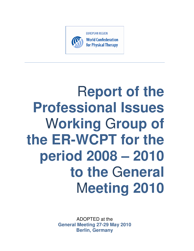

# R**eport of the Professional Issues**  W**orking** G**roup of the ER-WCPT for the period 2008 – 2010 to the** G**eneral**  M**eeting 2010**

ADOPTED at the **General Meeting 27-29 May 2010 Berlin, Germany**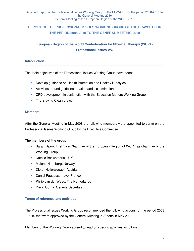# **REPORT OF THE PROFESSIONAL ISSUES WORKING GROUP OF THE ER-WCPT FOR THE PERIOD 2008-2010 TO THE GENERAL MEETING 2010**

# **European Region of the World Confederation for Physical Therapy (WCPT) Professional Issues WG**

### **Introduction:**

The main objectives of the Professional Issues Working Group have been:

- Develop guidance on Health Promotion and Healthy Lifestyles
- Activities around guideline creation and dissemination
- CPD development in conjunction with the Education Matters Working Group
- The Staying Clean project.

#### **Members**

After the General Meeting in May 2008 the following members were appointed to serve on the Professional Issues Working Group by the Executive Committee.

#### **The members of the group**:

- Sarah Bazin, First Vice Chairman of the European Region of WCPT as chairman of the Working Group
- Natalie Beswetherick, UK
- Malene Haneborg, Norway
- Dieter Hollerwoeger, Austria
- Daniel Paguessorhaye, France
- Philip van der Wees, The Netherlands
- David Gorria, General Secretary

#### **Terms of reference and activities**

The Professional Issues Working Group recommended the following actions for the period 2008 – 2010 that were approved by the General Meeting in Athens in May 2008.

Members of the Working Group agreed to lead on specific activities as follows: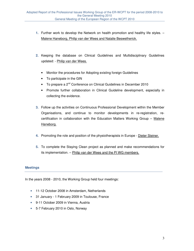- **1.** Further work to develop the Network on health promotion and healthy life styles. Malene Haneborg, Philip van der Wees and Natalie Beswetherick.
- **2.** Keeping the database on Clinical Guidelines and Multidisciplinary Guidelines updated: - Philip van der Wees.
	- Monitor the procedures for Adopting existing foreign Guidelines
	- To participate in the GIN
	- To prepare a 2<sup>nd</sup> Conference on Clinical Guidelines in December 2010
	- Promote further collaboration in Clinical Guideline development, especially in collecting the evidence.
- **3.** Follow up the activities on Continuous Professional Development within the Member Organisations, and continue to monitor developments in re-registration, recertification in collaboration with the Education Matters Working Group  $-$  Malene Haneborg.
- **4.** Promoting the role and position of the physiotherapists in Europe Dieter Steiner.
- **5.** To complete the Staying Clean project as planned and make recommendations for its implementation. – Philip van der Wees and the PI WG members.

## **Meetings**

In the years 2008 - 2010, the Working Group held four meetings:

- 11-12 October 2008 in Amsterdam, Netherlands
- 31 January 1 February 2009 in Toulouse, France
- 9-11 October 2009 in Vienna, Austria
- 5-7 February 2010 in Oslo, Norway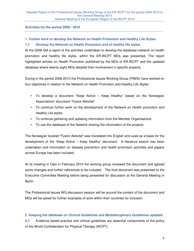#### **Activities for the period 2008 - 2010**

#### **1. Further work to develop the Network on Health Promotion and Healthy Life Styles**

#### **1.1. Develop the Network on Health Promotion and of healthy life styles**

At the 2008 GM a report of the activities undertaken to develop the database–network on health promotion and healthy life styles, within the ER-WCPT MOs was presented. The report highlighted articles on Health Promotion published by the MOs of ER-WCPT and the updated database where twenty-eight MOs detailed their involvement in specific projects.

During in the period 2008-2010 the Professional Issues Working Group (PIWG) have worked on four objectives in relation to the Network on Health Promotion and Healthy Life Styles:

- To develop a document "Keep Active Keep Healthy" based on the Norwegian Associations' document "Fysick Aktivitet"
- To continue further work on the development of the Network on Health promotion and Healthy Life styles
- To continue gathering and updating information from the Member Organisations
- To use the database of the Network sharing the information of the projects.

The Norwegian booklet "Fysick Aktivitet" was translated into English and used as a basis for the development of the "Keep Active – Keep Healthy" document. A literature search has been undertaken and information on disease prevention and health promotion activities and papers across Europe has been included.

At its meeting in Oslo in February 2010 the working group reviewed the document and agreed some changes and further references to be included. The final document was presented to the Executive Committee Meeting before being presented for discussion at the General Meeting in Berlin.

The Professional Issues WG discussion session will be around the content of the document and MOs will be asked for further examples of work within their countries for inclusion.

#### **2. Keeping the database on Clinical Guidelines and Multidisciplinary Guidelines updated**

**2.1** Evidence based practice and clinical guidelines are essential components of the policy of the World Confederation for Physical Therapy (WCPT).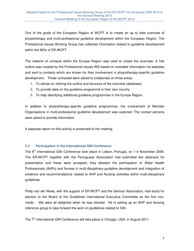One of the goals of the European Region of WCPT is to create an up to date overview of physiotherapy and multi-professional guideline development within the European Region. The Professional Issues Working Group has collected information related to guideline development within the MOs of ER-WCPT.

The network of contacts within the Europe Region was used to create the overview. A first outline was created by the Professional Issues WG based on available information via websites and sent to contacts which are known for their involvement in physiotherapy-specific guideline development. Those contacted were asked to collaborate on three areas:

- **1.** To advise on refining the outline and structure of the overview (database)
- **2.** To provide data on the guideline programme in their own country
- **3.** To help identifying additional guideline programmes in the Europe Region.

In addition to physiotherapy-specific guideline programmes, the involvement of Member Organisations in multi-professional guideline development was explored. The contact persons were asked to provide information.

A separate report on this activity is presented to the meeting.

#### **2.2 Participation in the International GIN Conference**

The 6<sup>th</sup> International GIN Conference took place in Lisbon, Portugal, on 1-4 November 2009. The ER-WCPT together with the Portuguese Association had submitted two abstracts for presentation and these were accepted; they detailed the participation of Allied Health Professionals (AHPs) and Nurses in multi-disciplinary guideline development and integration of evidence and recommendations related to AHP and Nursing activities within multi-disciplinary guidelines.

Philip van der Wees, with the support of ER-WCPT and the German Association, had stood for election to the Board of the Guidelines International Executive Committee as the first nonmedic. We were all delighted when he was elected. He is setting up an AHP and Nursing reference group to take forward the work on guidelines related to GIN.

The 7<sup>th</sup> International GIN Conference will take place in Chicago, USA, in August 2011.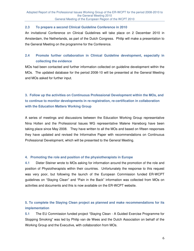#### **2.3 To prepare a second Clinical Guideline Conference in 2010**

An invitational Conference on Clinical Guidelines will take place on 2 December 2010 in Amsterdam, the Netherlands, as part of the Dutch Congress. Philip will make a presentation to the General Meeting on the programme for the Conference.

## **2.4 Promote further collaboration in Clinical Guideline development, especially in collecting the evidence**

MOs had been contacted and further information collected on guideline development within the MOs. The updated database for the period 2008-10 will be presented at the General Meeting and MOs asked for further input.

# **3. Follow up the activities on Continuous Professional Development within the MOs, and to continue to monitor developments in re-registration, re-certification in collaboration with the Education Matters Working Group**

A series of meetings and discussions between the Education Working Group representative Nina Holten and the Professional Issues WG representative Malene Haneborg have been taking place since May 2008. They have written to all the MOs and based on fifteen responses they have updated and revised the Informative Paper with recommendations on Continuous Professional Development, which will be presented to the General Meeting.

#### **4. Promoting the role and position of the physiotherapists in Europe**

**4.1** Dieter Steiner wrote to MOs asking for information around the promotion of the role and position of Physiotherapists within their countries. Unfortunately the response to this request was very poor, but following the launch of the European Commission funded ER-WCPT guidelines on "Staying Clean" and "Pain in the Back" information was collected from MOs on activities and documents and this is now available on the ER-WCPT website.

## **5. To complete the Staying Clean project as planned and make recommendations for its implementation**

**5.1** The EU Commission funded project "Staying Clean - A Guided Exercise Programme for Stopping Smoking" was led by Philip van de Wees and the Dutch Association on behalf of the Working Group and the Executive, with collaboration from MOs.